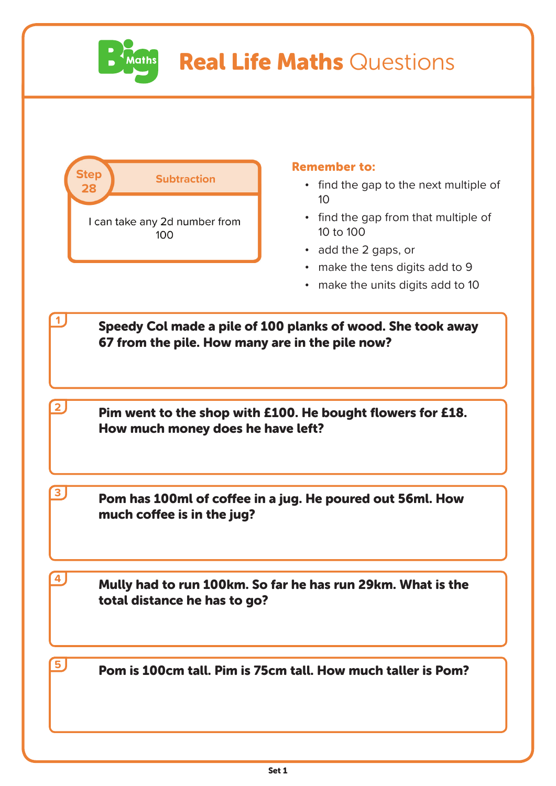

## Real Life Maths Questions